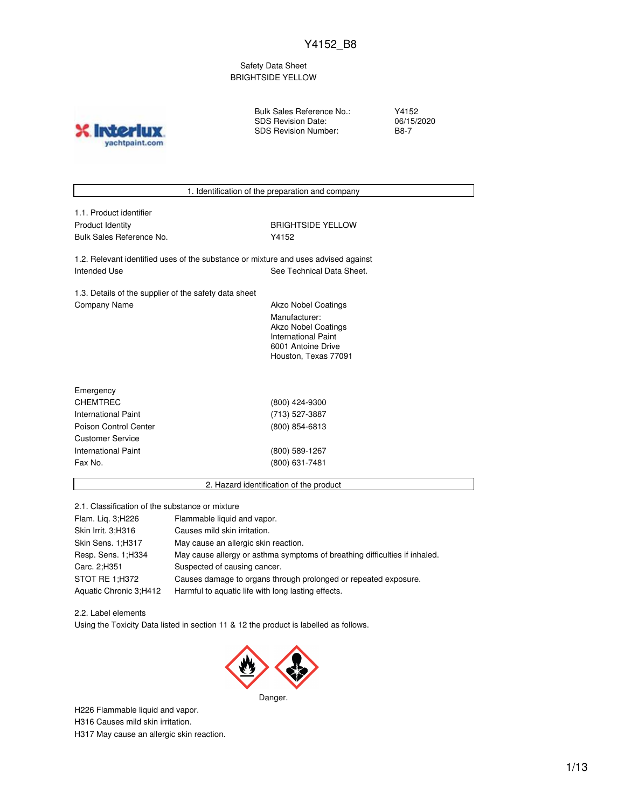Safety Data Sheet BRIGHTSIDE YELLOW

yachtpaint.com

Bulk Sales Reference No.: SDS Revision Date: SDS Revision Number:

Y4152 06/15/2020 B8-7



2.1. Classification of the substance or mixture

| Flam. Lig. 3; H226     | Flammable liquid and vapor.                                                |
|------------------------|----------------------------------------------------------------------------|
| Skin Irrit. 3:H316     | Causes mild skin irritation.                                               |
| Skin Sens. 1;H317      | May cause an allergic skin reaction.                                       |
| Resp. Sens. 1; H334    | May cause allergy or asthma symptoms of breathing difficulties if inhaled. |
| Carc. 2;H351           | Suspected of causing cancer.                                               |
| STOT RE 1;H372         | Causes damage to organs through prolonged or repeated exposure.            |
| Aquatic Chronic 3;H412 | Harmful to aquatic life with long lasting effects.                         |

2.2. Label elements Using the Toxicity Data listed in section 11 & 12 the product is labelled as follows.



Danger.

H226 Flammable liquid and vapor.

H316 Causes mild skin irritation.

H317 May cause an allergic skin reaction.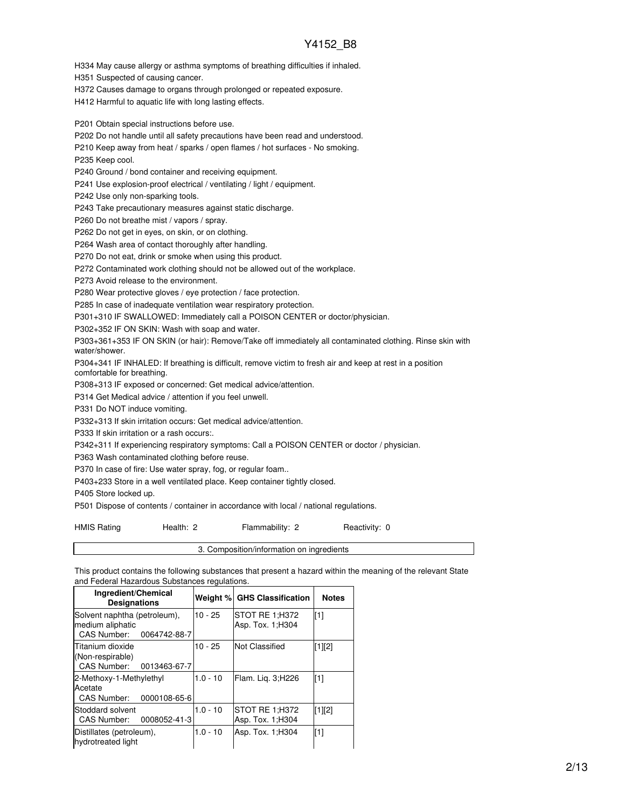H334 May cause allergy or asthma symptoms of breathing difficulties if inhaled.

H351 Suspected of causing cancer.

H372 Causes damage to organs through prolonged or repeated exposure.

H412 Harmful to aquatic life with long lasting effects.

P201 Obtain special instructions before use.

P202 Do not handle until all safety precautions have been read and understood.

P210 Keep away from heat / sparks / open flames / hot surfaces - No smoking.

P235 Keep cool.

P240 Ground / bond container and receiving equipment.

P241 Use explosion-proof electrical / ventilating / light / equipment.

P242 Use only non-sparking tools.

P243 Take precautionary measures against static discharge.

P260 Do not breathe mist / vapors / spray.

P262 Do not get in eyes, on skin, or on clothing.

P264 Wash area of contact thoroughly after handling.

P270 Do not eat, drink or smoke when using this product.

P272 Contaminated work clothing should not be allowed out of the workplace.

P273 Avoid release to the environment.

P280 Wear protective gloves / eye protection / face protection.

P285 In case of inadequate ventilation wear respiratory protection.

P301+310 IF SWALLOWED: Immediately call a POISON CENTER or doctor/physician.

P302+352 IF ON SKIN: Wash with soap and water.

P303+361+353 IF ON SKIN (or hair): Remove/Take off immediately all contaminated clothing. Rinse skin with water/shower.

P304+341 IF INHALED: If breathing is difficult, remove victim to fresh air and keep at rest in a position comfortable for breathing.

P308+313 IF exposed or concerned: Get medical advice/attention.

P314 Get Medical advice / attention if you feel unwell.

P331 Do NOT induce vomiting.

P332+313 If skin irritation occurs: Get medical advice/attention.

P333 If skin irritation or a rash occurs:.

P342+311 If experiencing respiratory symptoms: Call a POISON CENTER or doctor / physician.

P363 Wash contaminated clothing before reuse.

P370 In case of fire: Use water spray, fog, or regular foam..

P403+233 Store in a well ventilated place. Keep container tightly closed.

P405 Store locked up.

P501 Dispose of contents / container in accordance with local / national regulations.

HMIS Rating **Health: 2** Flammability: 2 Reactivity: 0

3. Composition/information on ingredients

This product contains the following substances that present a hazard within the meaning of the relevant State and Federal Hazardous Substances regulations.

| Ingredient/Chemical<br><b>Designations</b>                                   |            | Weight % GHS Classification         | <b>Notes</b> |
|------------------------------------------------------------------------------|------------|-------------------------------------|--------------|
| Solvent naphtha (petroleum),<br>medium aliphatic<br>CAS Number: 0064742-88-7 | $10 - 25$  | STOT RE 1:H372<br>Asp. Tox. 1; H304 | [1]          |
| Titanium dioxide<br>(Non-respirable)<br>CAS Number:<br>0013463-67-7          | $10 - 25$  | Not Classified                      | [1][2]       |
| 2-Methoxy-1-Methylethyl<br>Acetate<br>CAS Number: 0000108-65-6               | $1.0 - 10$ | Flam. Lig. 3;H226                   | [1]          |
| Stoddard solvent<br>CAS Number: 0008052-41-3                                 | $1.0 - 10$ | STOT RE 1;H372<br>Asp. Tox. 1; H304 | [1][2]       |
| Distillates (petroleum),<br>hydrotreated light                               | $1.0 - 10$ | Asp. Tox. 1; H304                   | [1]          |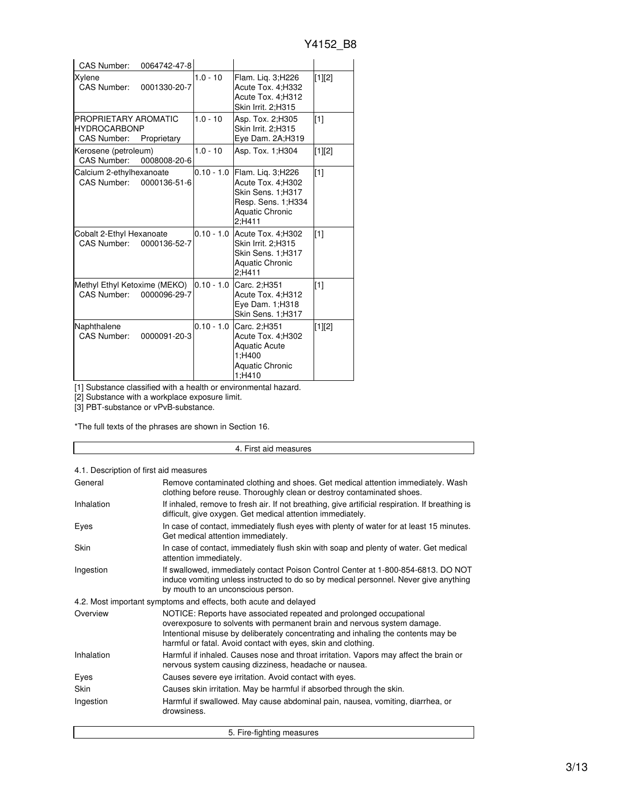| <b>CAS Number:</b>                                                | 0064742-47-8 |              |                                                                                                                         |          |
|-------------------------------------------------------------------|--------------|--------------|-------------------------------------------------------------------------------------------------------------------------|----------|
| Xylene<br><b>CAS Number:</b>                                      | 0001330-20-7 | $1.0 - 10$   | Flam. Lig. 3;H226<br>Acute Tox. 4; H332<br>Acute Tox. 4;H312<br>Skin Irrit. 2;H315                                      | $[1][2]$ |
| PROPRIETARY AROMATIC<br><b>HYDROCARBONP</b><br><b>CAS Number:</b> | Proprietary  | $1.0 - 10$   | Asp. Tox. 2;H305<br>Skin Irrit. 2;H315<br>Eye Dam. 2A;H319                                                              | $[1]$    |
| Kerosene (petroleum)<br>CAS Number:                               | 0008008-20-6 | $1.0 - 10$   | Asp. Tox. 1; H304                                                                                                       | [1][2]   |
| Calcium 2-ethylhexanoate<br>CAS Number: 0000136-51-6              |              | $0.10 - 1.0$ | Flam. Liq. 3;H226<br>Acute Tox. 4; H302<br>Skin Sens. 1;H317<br>Resp. Sens. 1; H334<br><b>Aquatic Chronic</b><br>2:H411 | [1]      |
| Cobalt 2-Ethyl Hexanoate<br>CAS Number:                           | 0000136-52-7 | $0.10 - 1.0$ | Acute Tox. 4; H302<br>Skin Irrit. 2:H315<br>Skin Sens. 1;H317<br><b>Aquatic Chronic</b><br>2:H411                       | $[1]$    |
| Methyl Ethyl Ketoxime (MEKO)<br>CAS Number:                       | 0000096-29-7 | $0.10 - 1.0$ | Carc. 2;H351<br>Acute Tox. 4;H312<br>Eye Dam. 1;H318<br>Skin Sens. 1;H317                                               | $[1]$    |
| Naphthalene<br><b>CAS Number:</b>                                 | 0000091-20-3 | $0.10 - 1.0$ | Carc. 2:H351<br>Acute Tox. 4;H302<br><b>Aquatic Acute</b><br>1;H400<br><b>Aquatic Chronic</b><br>1:H410                 | [1][2]   |

[1] Substance classified with a health or environmental hazard.

[2] Substance with a workplace exposure limit.

[3] PBT-substance or vPvB-substance.

\*The full texts of the phrases are shown in Section 16.

#### 4. First aid measures 4.1. Description of first aid measures General **Remove contaminated clothing and shoes.** Get medical attention immediately. Wash clothing before reuse. Thoroughly clean or destroy contaminated shoes. Inhalation If inhaled, remove to fresh air. If not breathing, give artificial respiration. If breathing is difficult, give oxygen. Get medical attention immediately. Eyes In case of contact, immediately flush eyes with plenty of water for at least 15 minutes. Get medical attention immediately. Skin **In case of contact, immediately flush skin with soap and plenty of water. Get medical** attention immediately. Ingestion If swallowed, immediately contact Poison Control Center at 1-800-854-6813. DO NOT induce vomiting unless instructed to do so by medical personnel. Never give anything by mouth to an unconscious person. 4.2. Most important symptoms and effects, both acute and delayed Overview NOTICE: Reports have associated repeated and prolonged occupational overexposure to solvents with permanent brain and nervous system damage. Intentional misuse by deliberately concentrating and inhaling the contents may be harmful or fatal. Avoid contact with eyes, skin and clothing. Inhalation **Harmful if inhaled. Causes nose and throat irritation. Vapors may affect the brain or** nervous system causing dizziness, headache or nausea. Eyes Causes severe eye irritation. Avoid contact with eyes. Skin Causes skin irritation. May be harmful if absorbed through the skin. Ingestion Harmful if swallowed. May cause abdominal pain, nausea, vomiting, diarrhea, or drowsiness. 5. Fire-fighting measures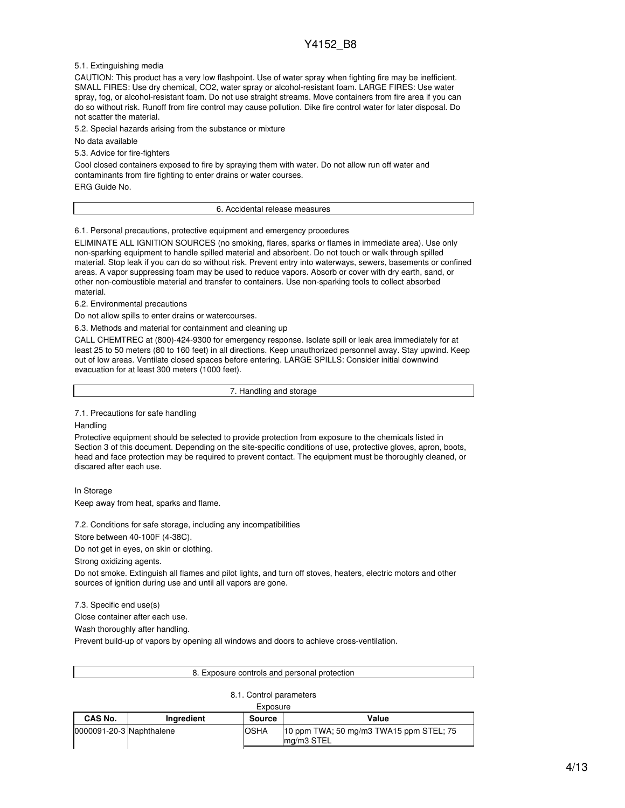5.1. Extinguishing media

CAUTION: This product has a very low flashpoint. Use of water spray when fighting fire may be inefficient. SMALL FIRES: Use dry chemical, CO2, water spray or alcohol-resistant foam. LARGE FIRES: Use water spray, fog, or alcohol-resistant foam. Do not use straight streams. Move containers from fire area if you can do so without risk. Runoff from fire control may cause pollution. Dike fire control water for later disposal. Do not scatter the material.

5.2. Special hazards arising from the substance or mixture

No data available

5.3. Advice for fire-fighters

Cool closed containers exposed to fire by spraying them with water. Do not allow run off water and contaminants from fire fighting to enter drains or water courses. ERG Guide No.

6. Accidental release measures

6.1. Personal precautions, protective equipment and emergency procedures

ELIMINATE ALL IGNITION SOURCES (no smoking, flares, sparks or flames in immediate area). Use only non-sparking equipment to handle spilled material and absorbent. Do not touch or walk through spilled material. Stop leak if you can do so without risk. Prevent entry into waterways, sewers, basements or confined areas. A vapor suppressing foam may be used to reduce vapors. Absorb or cover with dry earth, sand, or other non-combustible material and transfer to containers. Use non-sparking tools to collect absorbed material.

6.2. Environmental precautions

Do not allow spills to enter drains or watercourses.

6.3. Methods and material for containment and cleaning up

CALL CHEMTREC at (800)-424-9300 for emergency response. Isolate spill or leak area immediately for at least 25 to 50 meters (80 to 160 feet) in all directions. Keep unauthorized personnel away. Stay upwind. Keep out of low areas. Ventilate closed spaces before entering. LARGE SPILLS: Consider initial downwind evacuation for at least 300 meters (1000 feet).

7. Handling and storage

7.1. Precautions for safe handling

Handling

Protective equipment should be selected to provide protection from exposure to the chemicals listed in Section 3 of this document. Depending on the site-specific conditions of use, protective gloves, apron, boots, head and face protection may be required to prevent contact. The equipment must be thoroughly cleaned, or discared after each use.

In Storage

Keep away from heat, sparks and flame.

7.2. Conditions for safe storage, including any incompatibilities

Store between 40-100F (4-38C).

Do not get in eyes, on skin or clothing.

Strong oxidizing agents.

Do not smoke. Extinguish all flames and pilot lights, and turn off stoves, heaters, electric motors and other sources of ignition during use and until all vapors are gone.

7.3. Specific end use(s)

Close container after each use.

Wash thoroughly after handling.

Prevent build-up of vapors by opening all windows and doors to achieve cross-ventilation.

| 8. Exposure controls and personal protection |
|----------------------------------------------|
|                                              |

#### 8.1. Control parameters

| Exposure                 |            |             |                                                          |
|--------------------------|------------|-------------|----------------------------------------------------------|
| CAS No.                  | Inaredient | Source      | Value                                                    |
| 0000091-20-3 Naphthalene |            | <b>OSHA</b> | 10 ppm TWA; 50 mg/m3 TWA15 ppm STEL; 75<br>$Ima/m3$ STEL |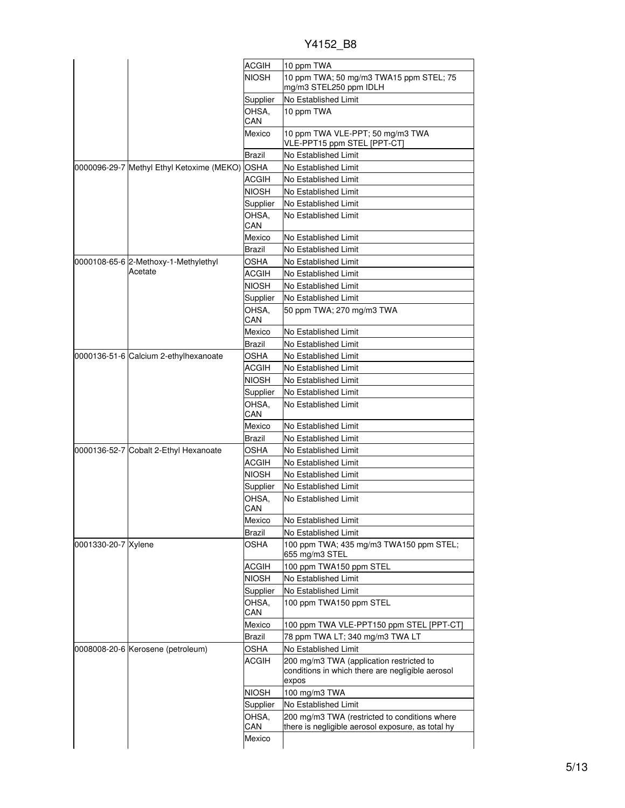|  | Y4152 B8 |
|--|----------|
|  |          |

|                     |                                           | <b>ACGIH</b>  | 10 ppm TWA                                                                                            |
|---------------------|-------------------------------------------|---------------|-------------------------------------------------------------------------------------------------------|
|                     |                                           | <b>NIOSH</b>  | 10 ppm TWA; 50 mg/m3 TWA15 ppm STEL; 75<br>mg/m3 STEL250 ppm IDLH                                     |
|                     |                                           | Supplier      | No Established Limit                                                                                  |
|                     |                                           | OHSA.<br>CAN  | 10 ppm TWA                                                                                            |
|                     |                                           | Mexico        | 10 ppm TWA VLE-PPT; 50 mg/m3 TWA<br>VLE-PPT15 ppm STEL [PPT-CT]                                       |
|                     |                                           | <b>Brazil</b> | No Established Limit                                                                                  |
|                     | 0000096-29-7 Methyl Ethyl Ketoxime (MEKO) | <b>OSHA</b>   | No Established Limit                                                                                  |
|                     |                                           | <b>ACGIH</b>  | No Established Limit                                                                                  |
|                     |                                           | <b>NIOSH</b>  | No Established Limit                                                                                  |
|                     |                                           | Supplier      | No Established Limit                                                                                  |
|                     |                                           | OHSA,<br>CAN  | <b>No Established Limit</b>                                                                           |
|                     |                                           | Mexico        | No Established Limit                                                                                  |
|                     |                                           | Brazil        | No Established Limit                                                                                  |
|                     | 0000108-65-6 2-Methoxy-1-Methylethyl      | <b>OSHA</b>   | No Established Limit                                                                                  |
|                     | Acetate                                   | <b>ACGIH</b>  | No Established Limit                                                                                  |
|                     |                                           | <b>NIOSH</b>  | No Established Limit                                                                                  |
|                     |                                           | Supplier      | No Established Limit                                                                                  |
|                     |                                           | OHSA,<br>CAN  | 50 ppm TWA; 270 mg/m3 TWA                                                                             |
|                     |                                           | Mexico        | No Established Limit                                                                                  |
|                     |                                           | Brazil        | No Established Limit                                                                                  |
|                     | 0000136-51-6 Calcium 2-ethylhexanoate     | <b>OSHA</b>   | No Established Limit                                                                                  |
|                     |                                           | <b>ACGIH</b>  | No Established Limit                                                                                  |
|                     |                                           | <b>NIOSH</b>  | No Established Limit                                                                                  |
|                     |                                           | Supplier      | No Established Limit                                                                                  |
|                     |                                           | OHSA,<br>CAN  | No Established Limit                                                                                  |
|                     |                                           | Mexico        | No Established Limit                                                                                  |
|                     |                                           | Brazil        | No Established Limit                                                                                  |
|                     | 0000136-52-7 Cobalt 2-Ethyl Hexanoate     | OSHA          | No Established Limit                                                                                  |
|                     |                                           | ACGIH         | No Established Limit                                                                                  |
|                     |                                           | <b>NIOSH</b>  | No Established Limit                                                                                  |
|                     |                                           | Supplier      | No Established Limit                                                                                  |
|                     |                                           | OHSA.<br>CAN  | No Established Limit                                                                                  |
|                     |                                           | Mexico        | No Established Limit                                                                                  |
|                     |                                           | <b>Brazil</b> | No Established Limit                                                                                  |
| 0001330-20-7 Xylene |                                           | OSHA          | 100 ppm TWA; 435 mg/m3 TWA150 ppm STEL;<br>655 mg/m3 STEL                                             |
|                     |                                           | ACGIH         | 100 ppm TWA150 ppm STEL                                                                               |
|                     |                                           | <b>NIOSH</b>  | No Established Limit                                                                                  |
|                     |                                           | Supplier      | No Established Limit                                                                                  |
|                     |                                           | OHSA.<br>CAN  | 100 ppm TWA150 ppm STEL                                                                               |
|                     |                                           | Mexico        | 100 ppm TWA VLE-PPT150 ppm STEL [PPT-CT]                                                              |
|                     |                                           | Brazil        | 78 ppm TWA LT; 340 mg/m3 TWA LT                                                                       |
|                     | 0008008-20-6 Kerosene (petroleum)         | <b>OSHA</b>   | No Established Limit                                                                                  |
|                     |                                           | ACGIH         | 200 mg/m3 TWA (application restricted to<br>conditions in which there are negligible aerosol<br>expos |
|                     |                                           | <b>NIOSH</b>  | 100 mg/m3 TWA                                                                                         |
|                     |                                           | Supplier      | No Established Limit                                                                                  |
|                     |                                           | OHSA,         | 200 mg/m3 TWA (restricted to conditions where                                                         |
|                     |                                           | CAN           | there is negligible aerosol exposure, as total hy                                                     |
|                     |                                           | Mexico        |                                                                                                       |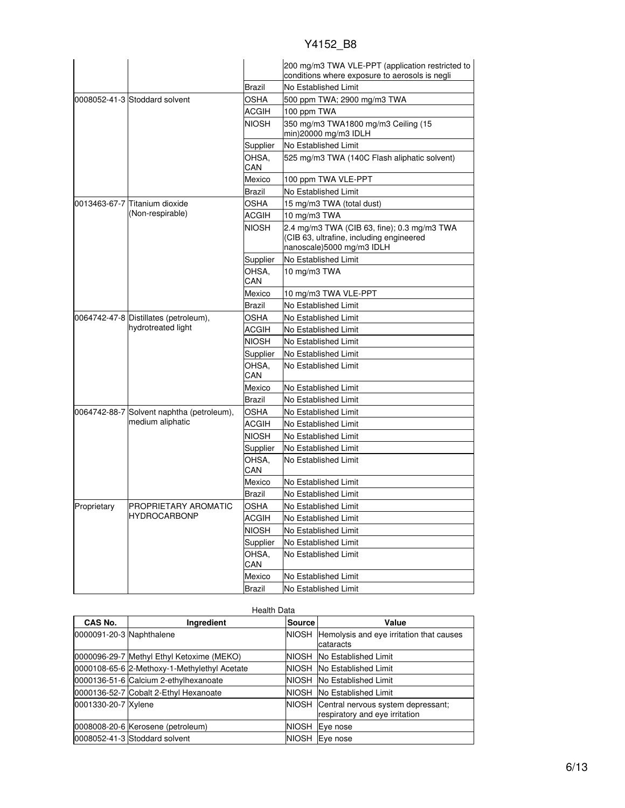|             |                                                             |              | 200 mg/m3 TWA VLE-PPT (application restricted to<br>conditions where exposure to aerosols is negli                   |
|-------------|-------------------------------------------------------------|--------------|----------------------------------------------------------------------------------------------------------------------|
|             |                                                             | Brazil       | No Established Limit                                                                                                 |
|             | 0008052-41-3 Stoddard solvent                               | <b>OSHA</b>  | 500 ppm TWA; 2900 mg/m3 TWA                                                                                          |
|             |                                                             | ACGIH        | 100 ppm TWA                                                                                                          |
|             |                                                             | <b>NIOSH</b> | 350 mg/m3 TWA1800 mg/m3 Ceiling (15<br>min)20000 mg/m3 IDLH                                                          |
|             |                                                             | Supplier     | No Established Limit                                                                                                 |
|             |                                                             | OHSA.<br>CAN | 525 mg/m3 TWA (140C Flash aliphatic solvent)                                                                         |
|             |                                                             | Mexico       | 100 ppm TWA VLE-PPT                                                                                                  |
|             |                                                             | Brazil       | No Established Limit                                                                                                 |
|             | 0013463-67-7 lTitanium dioxide                              | <b>OSHA</b>  | 15 mg/m3 TWA (total dust)                                                                                            |
|             | (Non-respirable)                                            | ACGIH        | 10 mg/m3 TWA                                                                                                         |
|             |                                                             | <b>NIOSH</b> | 2.4 mg/m3 TWA (CIB 63, fine); 0.3 mg/m3 TWA<br>(CIB 63, ultrafine, including engineered<br>nanoscale)5000 mg/m3 IDLH |
|             |                                                             | Supplier     | No Established Limit                                                                                                 |
|             |                                                             | OHSA,<br>CAN | 10 mg/m3 TWA                                                                                                         |
|             |                                                             | Mexico       | 10 mg/m3 TWA VLE-PPT                                                                                                 |
|             |                                                             | Brazil       | No Established Limit                                                                                                 |
|             | 0064742-47-8 Distillates (petroleum),<br>hydrotreated light | OSHA         | No Established Limit                                                                                                 |
|             |                                                             | ACGIH        | No Established Limit                                                                                                 |
|             |                                                             | NIOSH        | No Established Limit                                                                                                 |
|             |                                                             | Supplier     | No Established Limit                                                                                                 |
|             |                                                             | OHSA,<br>CAN | No Established Limit                                                                                                 |
|             |                                                             | Mexico       | No Established Limit                                                                                                 |
|             |                                                             | Brazil       | No Established Limit                                                                                                 |
|             | 0064742-88-7 Solvent naphtha (petroleum),                   | <b>OSHA</b>  | No Established Limit                                                                                                 |
|             | medium aliphatic                                            | <b>ACGIH</b> | No Established Limit                                                                                                 |
|             |                                                             | <b>NIOSH</b> | No Established Limit                                                                                                 |
|             |                                                             | Supplier     | No Established Limit                                                                                                 |
|             |                                                             | OHSA,<br>CAN | No Established Limit                                                                                                 |
|             |                                                             | Mexico       | No Established Limit                                                                                                 |
|             |                                                             | Brazil       | No Established Limit                                                                                                 |
| Proprietary | PROPRIETARY AROMATIC                                        | <b>OSHA</b>  | No Established Limit                                                                                                 |
|             | HYDROCARBONP                                                | <b>ACGIH</b> | No Established Limit                                                                                                 |
|             |                                                             | <b>NIOSH</b> | No Established Limit                                                                                                 |
|             |                                                             | Supplier     | No Established Limit                                                                                                 |
|             |                                                             | OHSA.<br>CAN | No Established Limit                                                                                                 |
|             |                                                             | Mexico       | No Established Limit                                                                                                 |
|             |                                                             | Brazil       | No Established Limit                                                                                                 |

|                          | <b>Health Data</b>                           |               |                                                                            |
|--------------------------|----------------------------------------------|---------------|----------------------------------------------------------------------------|
| CAS No.                  | Ingredient                                   | <b>Source</b> | Value                                                                      |
| 0000091-20-3 Naphthalene |                                              | NIOSH         | Hemolysis and eye irritation that causes<br>cataracts                      |
|                          | 0000096-29-7 Methyl Ethyl Ketoxime (MEKO)    | NIOSH         | No Established Limit                                                       |
|                          | 0000108-65-6 2-Methoxy-1-Methylethyl Acetate |               | NIOSH INo Established Limit                                                |
|                          | 0000136-51-6 Calcium 2-ethylhexanoate        | NIOSH         | No Established Limit                                                       |
|                          | 0000136-52-7 Cobalt 2-Ethyl Hexanoate        | <b>NIOSH</b>  | No Established Limit                                                       |
| 0001330-20-7 Xylene      |                                              |               | NIOSH Central nervous system depressant;<br>respiratory and eye irritation |
|                          | 0008008-20-6 Kerosene (petroleum)            | NIOSH         | Eye nose                                                                   |
|                          | 0008052-41-3 Stoddard solvent                | NIOSH         | Eve nose                                                                   |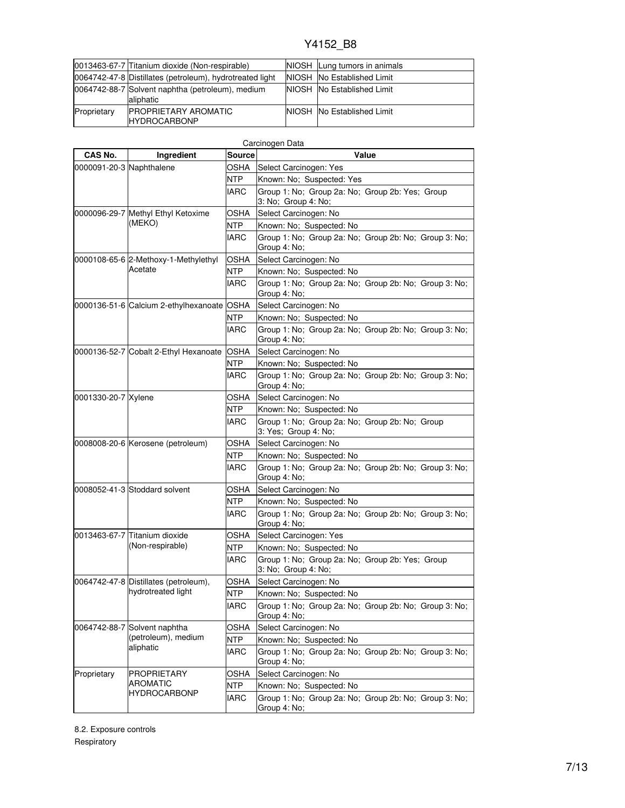|             | 0013463-67-7 Titanium dioxide (Non-respirable)                | NIOSH Lung tumors in animals       |
|-------------|---------------------------------------------------------------|------------------------------------|
|             | 0064742-47-8 Distillates (petroleum), hydrotreated light      | NIOSH No Established Limit         |
|             | 0064742-88-7 Solvent naphtha (petroleum), medium<br>aliphatic | NIOSH No Established Limit         |
| Proprietary | <b>IPROPRIETARY AROMATIC</b><br><b>IHYDROCARBONP</b>          | <b>NIOSH INO Established Limit</b> |

| CAS No.                  | Ingredient                                        | Source      | Carcinogen Data<br>Value                                               |
|--------------------------|---------------------------------------------------|-------------|------------------------------------------------------------------------|
| 0000091-20-3 Naphthalene |                                                   | OSHA        | Select Carcinogen: Yes                                                 |
|                          |                                                   | NTP         | Known: No; Suspected: Yes                                              |
|                          |                                                   | IARC        | Group 1: No; Group 2a: No; Group 2b: Yes; Group<br>3: No; Group 4: No; |
|                          | 0000096-29-7 Methyl Ethyl Ketoxime                | OSHA        | Select Carcinogen: No                                                  |
|                          | (MEKO)                                            | NTP         | Known: No; Suspected: No                                               |
|                          |                                                   | IARC        | Group 1: No; Group 2a: No; Group 2b: No; Group 3: No;<br>Group 4: No;  |
|                          | 0000108-65-6 2-Methoxy-1-Methylethyl              | OSHA        | Select Carcinogen: No                                                  |
|                          | Acetate                                           | <b>NTP</b>  | Known: No: Suspected: No                                               |
|                          |                                                   | IARC        | Group 1: No; Group 2a: No; Group 2b: No; Group 3: No;<br>Group 4: No;  |
|                          | 0000136-51-6 Calcium 2-ethylhexanoate OSHA        |             | Select Carcinogen: No                                                  |
|                          |                                                   | NTP         | Known: No; Suspected: No                                               |
|                          |                                                   | IARC        | Group 1: No; Group 2a: No; Group 2b: No; Group 3: No;<br>Group 4: No;  |
|                          | 0000136-52-7 Cobalt 2-Ethyl Hexanoate             | <b>OSHA</b> | Select Carcinogen: No                                                  |
|                          |                                                   | NTP         | Known: No; Suspected: No                                               |
|                          |                                                   | <b>IARC</b> | Group 1: No; Group 2a: No; Group 2b: No; Group 3: No;<br>Group 4: No;  |
| 0001330-20-7 Xylene      |                                                   | OSHA        | Select Carcinogen: No                                                  |
|                          |                                                   | NTP         | Known: No; Suspected: No                                               |
|                          |                                                   | <b>IARC</b> | Group 1: No; Group 2a: No; Group 2b: No; Group<br>3: Yes; Group 4: No; |
|                          | 0008008-20-6 Kerosene (petroleum)                 | OSHA        | Select Carcinogen: No                                                  |
|                          |                                                   | NTP         | Known: No; Suspected: No                                               |
|                          |                                                   | IARC        | Group 1: No; Group 2a: No; Group 2b: No; Group 3: No;<br>Group 4: No;  |
|                          | 0008052-41-3 Stoddard solvent                     | OSHA        | Select Carcinogen: No                                                  |
|                          |                                                   | NTP.        | Known: No; Suspected: No                                               |
|                          |                                                   | IARC        | Group 1: No; Group 2a: No; Group 2b: No; Group 3: No;<br>Group 4: No;  |
|                          | 0013463-67-7 Titanium dioxide<br>(Non-respirable) | OSHA        | Select Carcinogen: Yes                                                 |
|                          |                                                   | NTP         | Known: No: Suspected: No                                               |
|                          |                                                   | IARC        | Group 1: No; Group 2a: No; Group 2b: Yes; Group<br>3: No; Group 4: No; |
|                          | 0064742-47-8 Distillates (petroleum),             | OSHA        | Select Carcinogen: No                                                  |
|                          | hydrotreated light                                | <b>NTP</b>  | Known: No; Suspected: No                                               |
|                          |                                                   | <b>IARC</b> | Group 1: No; Group 2a: No; Group 2b: No; Group 3: No;<br>Group 4: No;  |
|                          | 0064742-88-7 Solvent naphtha                      | OSHA        | Select Carcinogen: No                                                  |
|                          | (petroleum), medium                               | NTP         | Known: No; Suspected: No                                               |
|                          | aliphatic                                         | IARC        | Group 1: No; Group 2a: No; Group 2b: No; Group 3: No;<br>Group 4: No;  |
| Proprietary              | <b>PROPRIETARY</b>                                | OSHA        | Select Carcinogen: No                                                  |
|                          | <b>AROMATIC</b>                                   | NTP         | Known: No; Suspected: No                                               |
|                          | <b>HYDROCARBONP</b>                               | IARC        | Group 1: No; Group 2a: No; Group 2b: No; Group 3: No;<br>Group 4: No;  |

8.2. Exposure controls Respiratory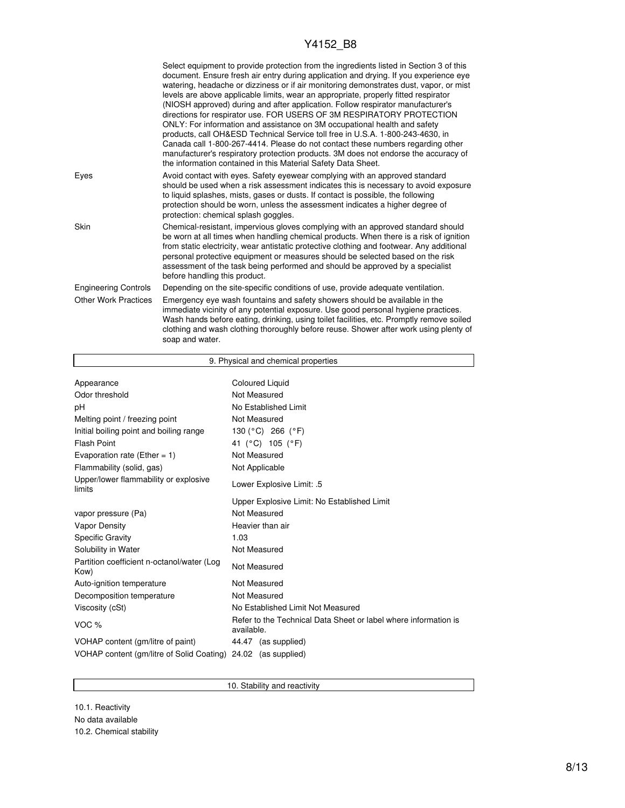|                             | Select equipment to provide protection from the ingredients listed in Section 3 of this<br>document. Ensure fresh air entry during application and drying. If you experience eye<br>watering, headache or dizziness or if air monitoring demonstrates dust, vapor, or mist<br>levels are above applicable limits, wear an appropriate, properly fitted respirator<br>(NIOSH approved) during and after application. Follow respirator manufacturer's<br>directions for respirator use. FOR USERS OF 3M RESPIRATORY PROTECTION<br>ONLY: For information and assistance on 3M occupational health and safety<br>products, call OH&ESD Technical Service toll free in U.S.A. 1-800-243-4630, in<br>Canada call 1-800-267-4414. Please do not contact these numbers regarding other<br>manufacturer's respiratory protection products. 3M does not endorse the accuracy of<br>the information contained in this Material Safety Data Sheet. |
|-----------------------------|-----------------------------------------------------------------------------------------------------------------------------------------------------------------------------------------------------------------------------------------------------------------------------------------------------------------------------------------------------------------------------------------------------------------------------------------------------------------------------------------------------------------------------------------------------------------------------------------------------------------------------------------------------------------------------------------------------------------------------------------------------------------------------------------------------------------------------------------------------------------------------------------------------------------------------------------|
| Eyes                        | Avoid contact with eyes. Safety eyewear complying with an approved standard<br>should be used when a risk assessment indicates this is necessary to avoid exposure<br>to liquid splashes, mists, gases or dusts. If contact is possible, the following<br>protection should be worn, unless the assessment indicates a higher degree of<br>protection: chemical splash goggles.                                                                                                                                                                                                                                                                                                                                                                                                                                                                                                                                                         |
| Skin                        | Chemical-resistant, impervious gloves complying with an approved standard should<br>be worn at all times when handling chemical products. When there is a risk of ignition<br>from static electricity, wear antistatic protective clothing and footwear. Any additional<br>personal protective equipment or measures should be selected based on the risk<br>assessment of the task being performed and should be approved by a specialist<br>before handling this product.                                                                                                                                                                                                                                                                                                                                                                                                                                                             |
| <b>Engineering Controls</b> | Depending on the site-specific conditions of use, provide adequate ventilation.                                                                                                                                                                                                                                                                                                                                                                                                                                                                                                                                                                                                                                                                                                                                                                                                                                                         |
| <b>Other Work Practices</b> | Emergency eye wash fountains and safety showers should be available in the<br>immediate vicinity of any potential exposure. Use good personal hygiene practices.<br>Wash hands before eating, drinking, using toilet facilities, etc. Promptly remove soiled<br>clothing and wash clothing thoroughly before reuse. Shower after work using plenty of<br>soap and water.                                                                                                                                                                                                                                                                                                                                                                                                                                                                                                                                                                |

| 9. Physical and chemical properties                |                                                                               |  |  |
|----------------------------------------------------|-------------------------------------------------------------------------------|--|--|
|                                                    | <b>Coloured Liquid</b>                                                        |  |  |
| Appearance                                         |                                                                               |  |  |
| Odor threshold                                     | Not Measured                                                                  |  |  |
| рH                                                 | No Established Limit                                                          |  |  |
| Melting point / freezing point                     | Not Measured                                                                  |  |  |
| Initial boiling point and boiling range            | 130 (°C) 266 (°F)                                                             |  |  |
| <b>Flash Point</b>                                 | 41 (°C) 105 (°F)                                                              |  |  |
| Evaporation rate (Ether = 1)                       | Not Measured                                                                  |  |  |
| Flammability (solid, gas)                          | Not Applicable                                                                |  |  |
| Upper/lower flammability or explosive<br>limits    | Lower Explosive Limit: .5                                                     |  |  |
|                                                    | Upper Explosive Limit: No Established Limit                                   |  |  |
| vapor pressure (Pa)                                | Not Measured                                                                  |  |  |
| <b>Vapor Density</b>                               | Heavier than air                                                              |  |  |
| <b>Specific Gravity</b>                            | 1.03                                                                          |  |  |
| Solubility in Water                                | Not Measured                                                                  |  |  |
| Partition coefficient n-octanol/water (Log<br>Kow) | Not Measured                                                                  |  |  |
| Auto-ignition temperature                          | Not Measured                                                                  |  |  |
| Decomposition temperature                          | Not Measured                                                                  |  |  |
| Viscosity (cSt)                                    | No Established Limit Not Measured                                             |  |  |
| VOC <sub>%</sub>                                   | Refer to the Technical Data Sheet or label where information is<br>available. |  |  |
| VOHAP content (gm/litre of paint)                  | 44.47 (as supplied)                                                           |  |  |
| VOHAP content (gm/litre of Solid Coating)          | 24.02<br>(as supplied)                                                        |  |  |

10. Stability and reactivity

10.1. Reactivity No data available 10.2. Chemical stability

I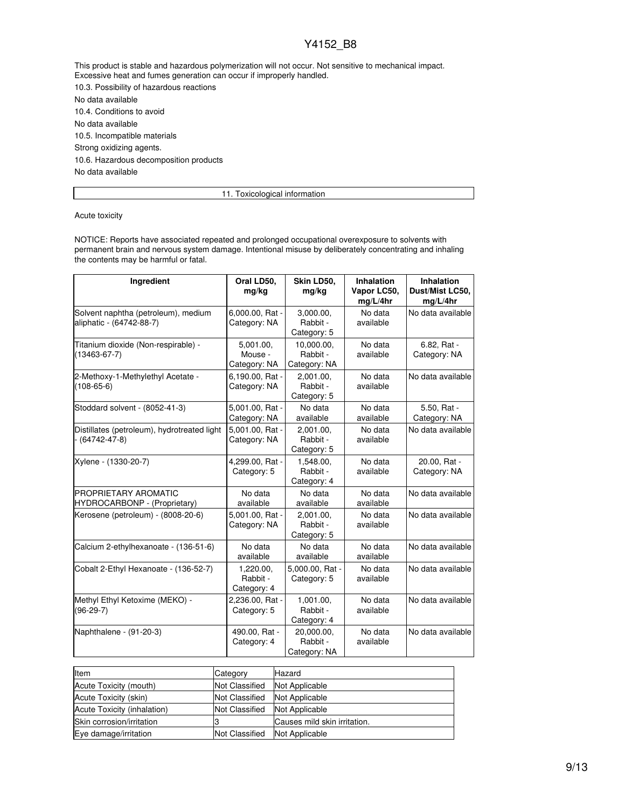This product is stable and hazardous polymerization will not occur. Not sensitive to mechanical impact. Excessive heat and fumes generation can occur if improperly handled.

10.3. Possibility of hazardous reactions No data available

10.4. Conditions to avoid No data available 10.5. Incompatible materials Strong oxidizing agents. 10.6. Hazardous decomposition products No data available

11. Toxicological information

Acute toxicity

NOTICE: Reports have associated repeated and prolonged occupational overexposure to solvents with permanent brain and nervous system damage. Intentional misuse by deliberately concentrating and inhaling the contents may be harmful or fatal.

| Ingredient                                                          | Oral LD50,<br>mg/kg                  | Skin LD50,<br>mg/kg                    | <b>Inhalation</b><br>Vapor LC50,<br>mg/L/4hr | <b>Inhalation</b><br>Dust/Mist LC50,<br>mg/L/4hr |
|---------------------------------------------------------------------|--------------------------------------|----------------------------------------|----------------------------------------------|--------------------------------------------------|
| Solvent naphtha (petroleum), medium<br>aliphatic - (64742-88-7)     | 6,000.00, Rat -<br>Category: NA      | 3,000.00,<br>Rabbit -<br>Category: 5   | No data<br>available                         | No data available                                |
| Titanium dioxide (Non-respirable) -<br>$(13463 - 67 - 7)$           | 5.001.00.<br>Mouse -<br>Category: NA | 10.000.00.<br>Rabbit -<br>Category: NA | No data<br>available                         | 6.82, Rat -<br>Category: NA                      |
| 2-Methoxy-1-Methylethyl Acetate -<br>$(108 - 65 - 6)$               | 6,190.00, Rat -<br>Category: NA      | 2,001.00,<br>Rabbit -<br>Category: 5   | No data<br>available                         | No data available                                |
| Stoddard solvent - (8052-41-3)                                      | 5,001.00, Rat -<br>Category: NA      | No data<br>available                   | No data<br>available                         | 5.50, Rat -<br>Category: NA                      |
| Distillates (petroleum), hydrotreated light<br>$- (64742 - 47 - 8)$ | 5,001.00, Rat -<br>Category: NA      | 2,001.00,<br>Rabbit -<br>Category: 5   | No data<br>available                         | No data available                                |
| Xylene - (1330-20-7)                                                | 4,299.00, Rat -<br>Category: 5       | 1,548.00,<br>Rabbit -<br>Category: 4   | No data<br>available                         | 20.00, Rat -<br>Category: NA                     |
| <b>PROPRIETARY AROMATIC</b><br>HYDROCARBONP - (Proprietary)         | No data<br>available                 | No data<br>available                   | No data<br>available                         | No data available                                |
| Kerosene (petroleum) - (8008-20-6)                                  | 5,001.00, Rat -<br>Category: NA      | 2,001.00,<br>Rabbit -<br>Category: 5   | No data<br>available                         | No data available                                |
| Calcium 2-ethylhexanoate - (136-51-6)                               | No data<br>available                 | No data<br>available                   | No data<br>available                         | No data available                                |
| Cobalt 2-Ethyl Hexanoate - (136-52-7)                               | 1,220.00,<br>Rabbit -<br>Category: 4 | 5,000.00, Rat -<br>Category: 5         | No data<br>available                         | No data available                                |
| Methyl Ethyl Ketoxime (MEKO) -<br>$(96-29-7)$                       | 2,236.00, Rat -<br>Category: 5       | 1,001.00,<br>Rabbit -<br>Category: 4   | No data<br>available                         | No data available                                |
| Naphthalene - (91-20-3)                                             | 490.00, Rat -<br>Category: 4         | 20,000.00,<br>Rabbit -<br>Category: NA | No data<br>available                         | No data available                                |

| Item                        | Category              | Hazard                       |
|-----------------------------|-----------------------|------------------------------|
| Acute Toxicity (mouth)      | Not Classified        | Not Applicable               |
| Acute Toxicity (skin)       | <b>Not Classified</b> | Not Applicable               |
| Acute Toxicity (inhalation) | <b>Not Classified</b> | Not Applicable               |
| Skin corrosion/irritation   |                       | Causes mild skin irritation. |
| Eye damage/irritation       | Not Classified        | Not Applicable               |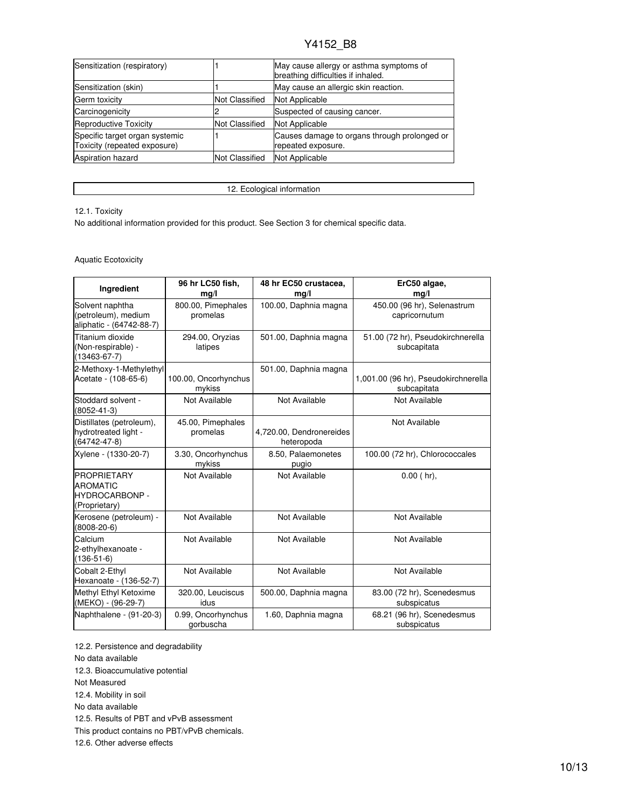| Sensitization (respiratory)                                    |                       | May cause allergy or asthma symptoms of<br>breathing difficulties if inhaled. |
|----------------------------------------------------------------|-----------------------|-------------------------------------------------------------------------------|
| Sensitization (skin)                                           |                       | May cause an allergic skin reaction.                                          |
| Germ toxicity                                                  | <b>Not Classified</b> | Not Applicable                                                                |
| Carcinogenicity                                                |                       | Suspected of causing cancer.                                                  |
| Reproductive Toxicity                                          | <b>Not Classified</b> | Not Applicable                                                                |
| Specific target organ systemic<br>Toxicity (repeated exposure) |                       | Causes damage to organs through prolonged or<br>repeated exposure.            |
| <b>Aspiration hazard</b>                                       | <b>Not Classified</b> | Not Applicable                                                                |

12. Ecological information

#### 12.1. Toxicity

No additional information provided for this product. See Section 3 for chemical specific data.

#### Aquatic Ecotoxicity

| Ingredient                                                                      | 96 hr LC50 fish,<br>mg/l        | 48 hr EC50 crustacea,<br>mg/l          | ErC50 algae,<br>mg/l                                |
|---------------------------------------------------------------------------------|---------------------------------|----------------------------------------|-----------------------------------------------------|
| Solvent naphtha<br>(petroleum), medium<br>aliphatic - (64742-88-7)              | 800.00, Pimephales<br>promelas  | 100.00, Daphnia magna                  | 450.00 (96 hr), Selenastrum<br>capricornutum        |
| Titanium dioxide<br>(Non-respirable) -<br>$(13463 - 67 - 7)$                    | 294.00, Oryzias<br>latipes      | 501.00, Daphnia magna                  | 51.00 (72 hr), Pseudokirchnerella<br>subcapitata    |
| 2-Methoxy-1-Methylethyl<br>Acetate - (108-65-6)                                 | 100.00, Oncorhynchus<br>mykiss  | 501.00, Daphnia magna                  | 1,001.00 (96 hr), Pseudokirchnerella<br>subcapitata |
| Stoddard solvent -<br>$(8052 - 41 - 3)$                                         | Not Available                   | Not Available                          | Not Available                                       |
| Distillates (petroleum),<br>hydrotreated light -<br>$(64742 - 47 - 8)$          | 45.00, Pimephales<br>promelas   | 4,720.00, Dendronereides<br>heteropoda | Not Available                                       |
| Xylene - (1330-20-7)                                                            | 3.30, Oncorhynchus<br>mykiss    | 8.50, Palaemonetes<br>pugio            | 100.00 (72 hr), Chlorococcales                      |
| <b>PROPRIETARY</b><br><b>AROMATIC</b><br><b>HYDROCARBONP -</b><br>(Proprietary) | Not Available                   | Not Available                          | $0.00$ (hr),                                        |
| Kerosene (petroleum) -<br>$(8008 - 20 - 6)$                                     | Not Available                   | Not Available                          | Not Available                                       |
| Calcium<br>2-ethylhexanoate -<br>$(136 - 51 - 6)$                               | Not Available                   | Not Available                          | Not Available                                       |
| Cobalt 2-Ethyl<br>Hexanoate - (136-52-7)                                        | Not Available                   | Not Available                          | Not Available                                       |
| Methyl Ethyl Ketoxime<br>(MEKO) - (96-29-7)                                     | 320.00, Leuciscus<br>idus       | 500.00, Daphnia magna                  | 83.00 (72 hr), Scenedesmus<br>subspicatus           |
| Naphthalene - (91-20-3)                                                         | 0.99, Oncorhynchus<br>gorbuscha | 1.60, Daphnia magna                    | 68.21 (96 hr), Scenedesmus<br>subspicatus           |

12.2. Persistence and degradability

No data available

12.3. Bioaccumulative potential

Not Measured

12.4. Mobility in soil

No data available

12.5. Results of PBT and vPvB assessment

This product contains no PBT/vPvB chemicals.

12.6. Other adverse effects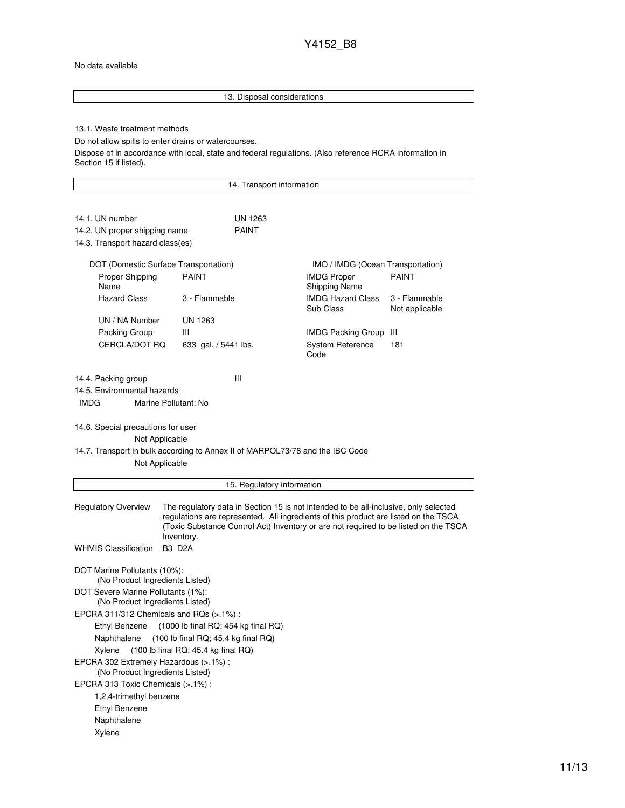#### No data available

Ethyl Benzene Naphthalene Xylene

## 13. Disposal considerations 13.1. Waste treatment methods Do not allow spills to enter drains or watercourses. Dispose of in accordance with local, state and federal regulations. (Also reference RCRA information in Section 15 if listed). 14. Transport information 14.1. UN number UN 1263 14.2. UN proper shipping name PAINT 14.3. Transport hazard class(es) DOT (Domestic Surface Transportation) IMO / IMDG (Ocean Transportation) Proper Shipping Name PAINT **IMDG** Proper Shipping Name PAINT Hazard Class 3 - Flammable IMDG Hazard Class Sub Class 3 - Flammable Not applicable UN / NA Number UN 1263 Packing Group III **IMDG Packing Group** III CERCLA/DOT RQ 633 gal. / 5441 lbs. System Reference Code 181 14.4. Packing group III 14.5. Environmental hazards IMDG Marine Pollutant: No 14.6. Special precautions for user Not Applicable 14.7. Transport in bulk according to Annex II of MARPOL73/78 and the IBC Code Not Applicable 15. Regulatory information Regulatory Overview The regulatory data in Section 15 is not intended to be all-inclusive, only selected regulations are represented. All ingredients of this product are listed on the TSCA (Toxic Substance Control Act) Inventory or are not required to be listed on the TSCA Inventory. WHMIS Classification B3 D2A DOT Marine Pollutants (10%): (No Product Ingredients Listed) DOT Severe Marine Pollutants (1%): (No Product Ingredients Listed) EPCRA 311/312 Chemicals and RQs (>.1%) : Ethyl Benzene (1000 lb final RQ; 454 kg final RQ) Naphthalene (100 lb final RQ; 45.4 kg final RQ) Xylene (100 lb final RQ; 45.4 kg final RQ) EPCRA 302 Extremely Hazardous (>.1%) : (No Product Ingredients Listed) EPCRA 313 Toxic Chemicals (>.1%) : 1,2,4-trimethyl benzene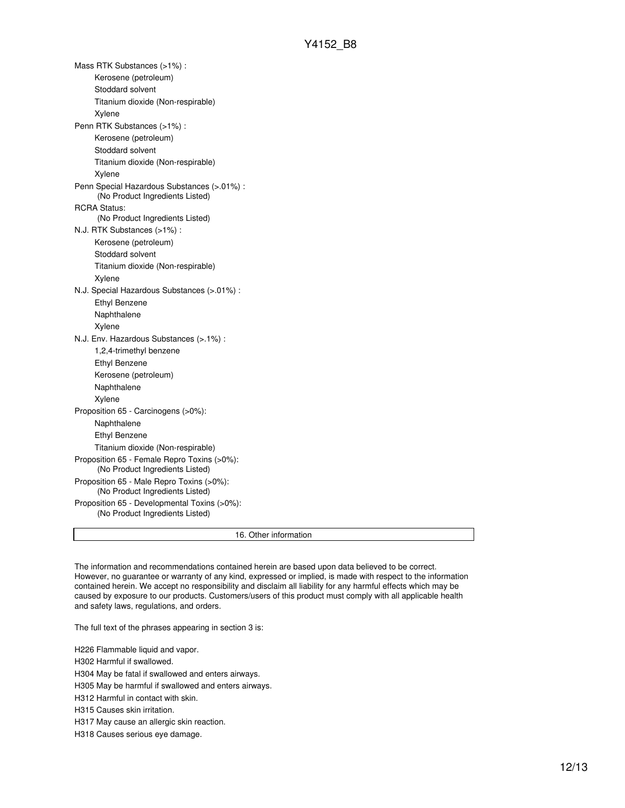Mass RTK Substances (>1%) : Kerosene (petroleum) Stoddard solvent Titanium dioxide (Non-respirable) Xylene Penn RTK Substances (>1%) : Kerosene (petroleum) Stoddard solvent Titanium dioxide (Non-respirable) Xylene Penn Special Hazardous Substances (>.01%) : (No Product Ingredients Listed) RCRA Status: (No Product Ingredients Listed) N.J. RTK Substances (>1%) : Kerosene (petroleum) Stoddard solvent Titanium dioxide (Non-respirable) Xylene N.J. Special Hazardous Substances (>.01%) : Ethyl Benzene Naphthalene Xylene N.J. Env. Hazardous Substances (>.1%) : 1,2,4-trimethyl benzene Ethyl Benzene Kerosene (petroleum) Naphthalene Xylene Proposition 65 - Carcinogens (>0%): Naphthalene Ethyl Benzene Titanium dioxide (Non-respirable) Proposition 65 - Female Repro Toxins (>0%): (No Product Ingredients Listed) Proposition 65 - Male Repro Toxins (>0%): (No Product Ingredients Listed) Proposition 65 - Developmental Toxins (>0%): (No Product Ingredients Listed) 16. Other information

The information and recommendations contained herein are based upon data believed to be correct. However, no guarantee or warranty of any kind, expressed or implied, is made with respect to the information contained herein. We accept no responsibility and disclaim all liability for any harmful effects which may be caused by exposure to our products. Customers/users of this product must comply with all applicable health and safety laws, regulations, and orders.

The full text of the phrases appearing in section 3 is:

H226 Flammable liquid and vapor.

H302 Harmful if swallowed.

H304 May be fatal if swallowed and enters airways.

H305 May be harmful if swallowed and enters airways.

H312 Harmful in contact with skin.

H315 Causes skin irritation.

H317 May cause an allergic skin reaction.

H318 Causes serious eye damage.